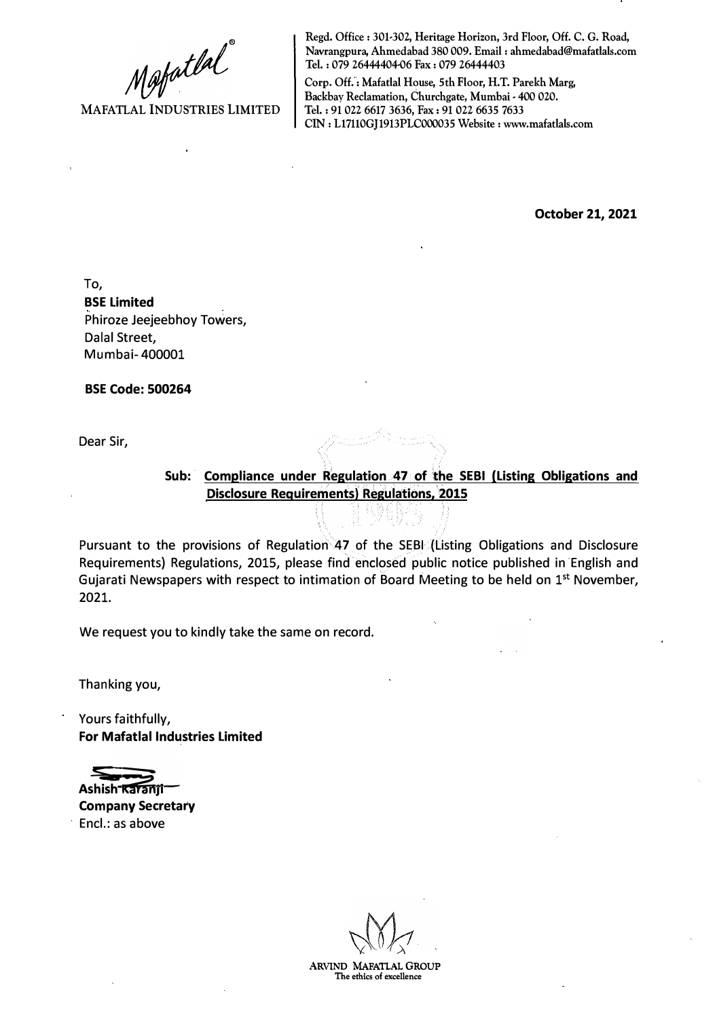$\mathcal{M}$ afatlal

**MAFATLAL INDUSTRIES LIMITED** 

**Regd. Office: 301-302, Heritage Horizon, 3rd Floor, Off. C. G. Road, Navrangpura, Ahmedabad 380 009. Email: ahmedabad@mafatlals.com Tel. : 079 26444404-06 Fax : 079 26444403** 

**Corp. Off.: Mafatlal House, 5th Floor, H.T. Parekh Marg,**  Backbay Reclamation, Churchgate, Mumbai - 400 020. **Tel.: 91 022 6617 3636, Fax: 91 022 6635 7633 CIN: Ll7110GJ1913PLC000035 Website: www.mafatlals.com** 

**October 21, 2021**

To, **BSE Limited** Phiroze Jeejeebhoy Towers, Dalal Street, Mumbai- 400001

**BSE Code: 500264**

Dear Sir,

Sub: **Compliance under Regulation 47 of the SEBI (Listing Obligations and Disclosure Requirements) Regulations, 2015** 

Pursuant to the provisions of Regulation 47 of the SEBI (Listing Obligations and Disclosure Requirements) Regulations, 2015, please find enclosed public notice published in English and Gujarati Newspapers with respect to intimation of Board Meeting to be held on  $1<sup>st</sup>$  November, 2021.

We request you to kindly take the same on record.

Thanking you,

Yours faithfully, **For Mafatlal Industries Limited**

Ashish **Karanii** 

**Company Secretary** Encl.: as above

**ARVIND MAFATLAL GROUP The ethics of excellence**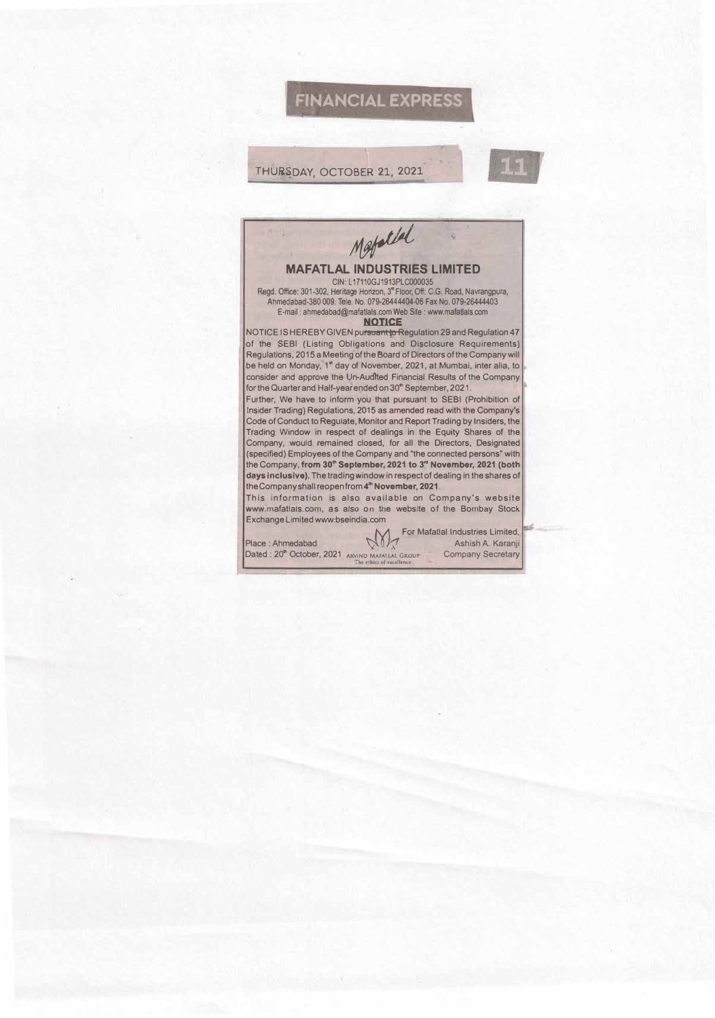## **FINANCIAL EXPRESS**

## THURSDAY, OCTOBER 21, 2021

## Metald **MAFATLAL INDUSTRIES LIMITED**  CIN: L17110GJ1913PLC000035 Regd. Office: 301-302, Heritage Horizon, 3<sup>ª</sup> Floor, Off: C.G. Road, Navrangpura, Ahmedabad-380 009. Tele. No. 079-26444404-06 Fax No. 079-26444403 E-mail : ahmedabad@mafatlals.com Web Sile : www.mafatlals.com **NOTICE**  NOTICE IS HEREBY GIVEN pursuant to Regulation 29 and Regulation 47 of the SEBI (Listing Obligations and Disclosure Requirements) Regulations, 2015 a Meeting of the �card of Directors of the Company will be held on Monday, 1• day of November, 2021, at Mumbai, inter alia, to consider and approve the Un-Audited Financial Results of the Company for the Quarter and Half-year ended on 30" September, 2021. Further, We have to inform you that pursuant to SEBI (Prohibition of Insider Trading) Regulations, 2015 as amended read with the Company's Code of Conduct to Regulate, Monitor and Report Trading by Insiders, the Trading Window in respect of dealings in the Equity Shares of the Company, would remained closed, for all the Directors, Designated (specified) Employees of the Company and "the connected persons" with the Company, **from 30"' September, 2021 to 3 '" November, 2021 (both days Inclusive).** The trading window in respect of dealing in the shares of the Company shall reopen from **4 "' November, 2021.**  This information is also available on Company's website www.mafatlais.com, as also on the website of the Bombay Stock Exchange Limited www.bseindia.com

Place : Ahmedabad Dated : 20<sup>th</sup> October, 2021 ARVIND MAFATLAL GRO<br>The ethics of excellence

For Mafatlal Industries Limited, *�0)2* Ashish A. Karanji Company Secretary